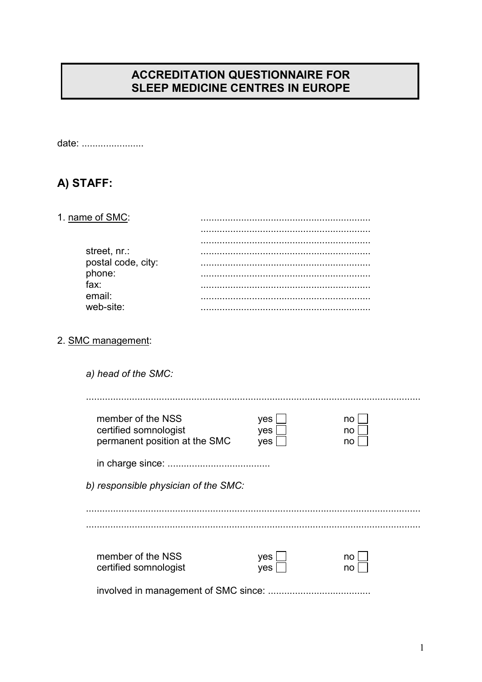## **ACCREDITATION QUESTIONNAIRE FOR** SLEEP MEDICINE CENTRES IN EUROPE

date: .......................

# A) STAFF:

#### 1. name of SMC:

| street, nr.:       |  |
|--------------------|--|
| postal code, city: |  |
| phone:<br>fax:     |  |
|                    |  |
| email:             |  |
|                    |  |
| web-site:          |  |

#### 2. SMC management:

| a) head of the SMC:                  |     |    |
|--------------------------------------|-----|----|
| member of the NSS                    | yes | no |
| certified somnologist                | yes | no |
| permanent position at the SMC        | yes | no |
| b) responsible physician of the SMC: |     |    |
| member of the NSS                    | yes | no |
| certified somnologist                | yes | no |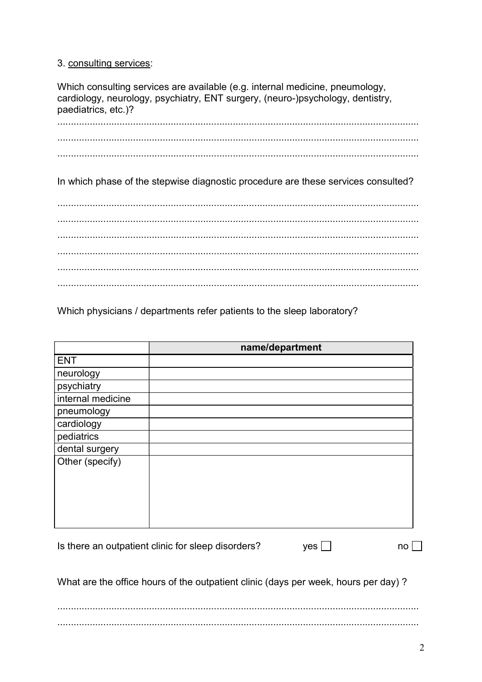#### 3. consulting services:

Which consulting services are available (e.g. internal medicine, pneumology, cardiology, neurology, psychiatry, ENT surgery, (neuro-)psychology, dentistry, paediatrics, etc.)?

In which phase of the stepwise diagnostic procedure are these services consulted?

Which physicians / departments refer patients to the sleep laboratory?

|                                                    | name/department |    |
|----------------------------------------------------|-----------------|----|
| <b>ENT</b>                                         |                 |    |
| neurology                                          |                 |    |
| psychiatry                                         |                 |    |
| internal medicine                                  |                 |    |
| pneumology                                         |                 |    |
| cardiology                                         |                 |    |
| pediatrics                                         |                 |    |
| dental surgery                                     |                 |    |
| Other (specify)                                    |                 |    |
|                                                    |                 |    |
|                                                    |                 |    |
|                                                    |                 |    |
|                                                    |                 |    |
|                                                    |                 |    |
|                                                    |                 |    |
| Is there an outpatient clinic for sleep disorders? | yes             | no |

What are the office hours of the outpatient clinic (days per week, hours per day)?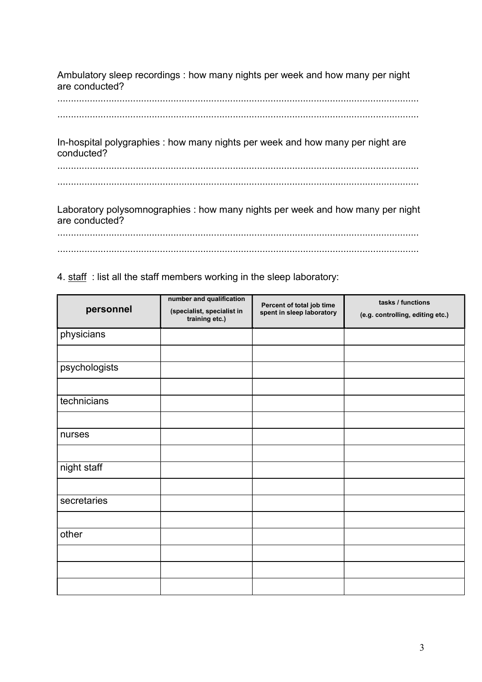Ambulatory sleep recordings : how many nights per week and how many per night are conducted?

......................................................................................................................................

......................................................................................................................................

In-hospital polygraphies : how many nights per week and how many per night are conducted?

...................................................................................................................................... ......................................................................................................................................

Laboratory polysomnographies : how many nights per week and how many per night are conducted?

...................................................................................................................................... ......................................................................................................................................

4. staff : list all the staff members working in the sleep laboratory:

| personnel     | number and qualification<br>(specialist, specialist in<br>training etc.) | Percent of total job time<br>spent in sleep laboratory | tasks / functions<br>(e.g. controlling, editing etc.) |
|---------------|--------------------------------------------------------------------------|--------------------------------------------------------|-------------------------------------------------------|
| physicians    |                                                                          |                                                        |                                                       |
|               |                                                                          |                                                        |                                                       |
| psychologists |                                                                          |                                                        |                                                       |
|               |                                                                          |                                                        |                                                       |
| technicians   |                                                                          |                                                        |                                                       |
|               |                                                                          |                                                        |                                                       |
| nurses        |                                                                          |                                                        |                                                       |
|               |                                                                          |                                                        |                                                       |
| night staff   |                                                                          |                                                        |                                                       |
|               |                                                                          |                                                        |                                                       |
| secretaries   |                                                                          |                                                        |                                                       |
|               |                                                                          |                                                        |                                                       |
| other         |                                                                          |                                                        |                                                       |
|               |                                                                          |                                                        |                                                       |
|               |                                                                          |                                                        |                                                       |
|               |                                                                          |                                                        |                                                       |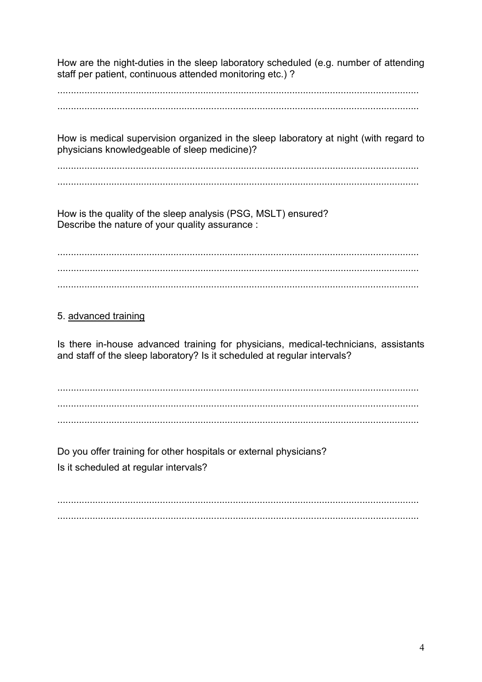How are the night-duties in the sleep laboratory scheduled (e.g. number of attending staff per patient, continuous attended monitoring etc.) ?

How is medical supervision organized in the sleep laboratory at night (with regard to physicians knowledgeable of sleep medicine)?

How is the quality of the sleep analysis (PSG, MSLT) ensured? Describe the nature of your quality assurance :

## 5. advanced training

Is there in-house advanced training for physicians, medical-technicians, assistants and staff of the sleep laboratory? Is it scheduled at regular intervals?

Do you offer training for other hospitals or external physicians? Is it scheduled at regular intervals?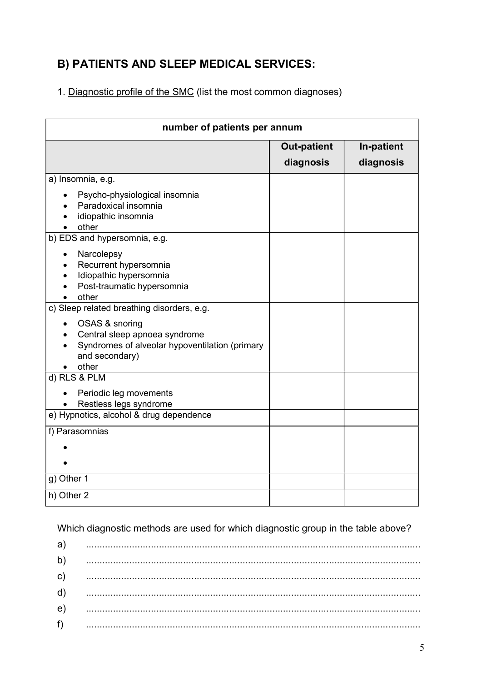# B) PATIENTS AND SLEEP MEDICAL SERVICES:

1. Diagnostic profile of the SMC (list the most common diagnoses)

| number of patients per annum                                                                                                 |                                 |                         |  |
|------------------------------------------------------------------------------------------------------------------------------|---------------------------------|-------------------------|--|
|                                                                                                                              | <b>Out-patient</b><br>diagnosis | In-patient<br>diagnosis |  |
| a) Insomnia, e.g.                                                                                                            |                                 |                         |  |
| Psycho-physiological insomnia<br>Paradoxical insomnia<br>idiopathic insomnia<br>other                                        |                                 |                         |  |
| b) EDS and hypersomnia, e.g.                                                                                                 |                                 |                         |  |
| Narcolepsy<br>Recurrent hypersomnia<br>Idiopathic hypersomnia<br>Post-traumatic hypersomnia<br>other                         |                                 |                         |  |
| c) Sleep related breathing disorders, e.g.                                                                                   |                                 |                         |  |
| OSAS & snoring<br>Central sleep apnoea syndrome<br>Syndromes of alveolar hypoventilation (primary<br>and secondary)<br>other |                                 |                         |  |
| d) RLS & PLM                                                                                                                 |                                 |                         |  |
| Periodic leg movements<br>Restless legs syndrome                                                                             |                                 |                         |  |
| e) Hypnotics, alcohol & drug dependence                                                                                      |                                 |                         |  |
| f) Parasomnias                                                                                                               |                                 |                         |  |
| g) Other 1                                                                                                                   |                                 |                         |  |
| h) Other 2                                                                                                                   |                                 |                         |  |

Which diagnostic methods are used for which diagnostic group in the table above?

| a)           |                                                                                                                                                                                                                                                                                                                                                                                                                                               |
|--------------|-----------------------------------------------------------------------------------------------------------------------------------------------------------------------------------------------------------------------------------------------------------------------------------------------------------------------------------------------------------------------------------------------------------------------------------------------|
| $\mathsf{b}$ | $\begin{minipage}{0.5\textwidth} \begin{tabular}{ c c c c c } \hline \multicolumn{1}{ c }{0.5\textwidth} \begin{tabular}{ c c c } \hline \multicolumn{1}{ c }{0.5\textwidth} \begin{tabular}{ c c c } \hline \multicolumn{1}{ c }{0.5\textwidth} \begin{tabular}{ c c c } \hline \multicolumn{1}{ c }{0.5\textwidth} \begin{tabular}{ c c c } \hline \multicolumn{1}{ c }{0.5\textwidth} \begin{tabular}{ c c c } \hline \multicolumn{1}{ c $ |
| $\mathbf{C}$ |                                                                                                                                                                                                                                                                                                                                                                                                                                               |
| $\mathsf{d}$ |                                                                                                                                                                                                                                                                                                                                                                                                                                               |
| $\epsilon$   |                                                                                                                                                                                                                                                                                                                                                                                                                                               |
| f)           |                                                                                                                                                                                                                                                                                                                                                                                                                                               |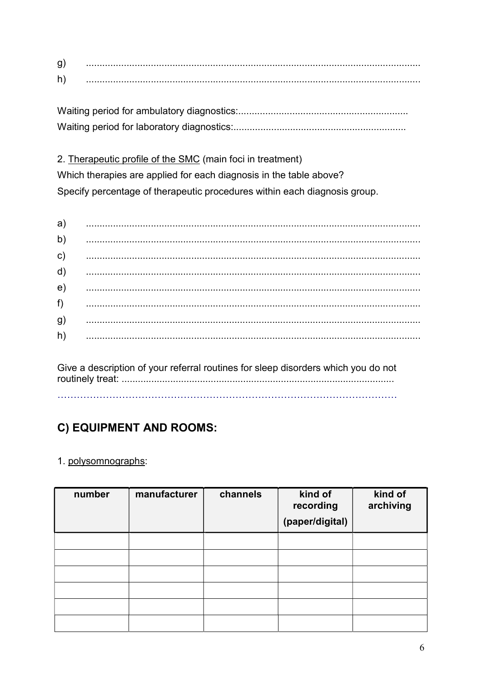| g |  |
|---|--|
| h |  |

2. Therapeutic profile of the SMC (main foci in treatment)

Which therapies are applied for each diagnosis in the table above? Specify percentage of therapeutic procedures within each diagnosis group.

| a) |                                                                                                                                                                                                                                                                                                                                                                                                                                                                                              |
|----|----------------------------------------------------------------------------------------------------------------------------------------------------------------------------------------------------------------------------------------------------------------------------------------------------------------------------------------------------------------------------------------------------------------------------------------------------------------------------------------------|
| b) |                                                                                                                                                                                                                                                                                                                                                                                                                                                                                              |
| c) |                                                                                                                                                                                                                                                                                                                                                                                                                                                                                              |
| d) |                                                                                                                                                                                                                                                                                                                                                                                                                                                                                              |
| e) |                                                                                                                                                                                                                                                                                                                                                                                                                                                                                              |
| f) |                                                                                                                                                                                                                                                                                                                                                                                                                                                                                              |
| g) |                                                                                                                                                                                                                                                                                                                                                                                                                                                                                              |
| h) | $\begin{array}{cccccccccccccc} \multicolumn{2}{c} \multicolumn{2}{c} \multicolumn{2}{c} \multicolumn{2}{c} \multicolumn{2}{c} \multicolumn{2}{c} \multicolumn{2}{c} \multicolumn{2}{c} \multicolumn{2}{c} \multicolumn{2}{c} \multicolumn{2}{c} \multicolumn{2}{c} \multicolumn{2}{c} \multicolumn{2}{c} \multicolumn{2}{c} \multicolumn{2}{c} \multicolumn{2}{c} \multicolumn{2}{c} \multicolumn{2}{c} \multicolumn{2}{c} \multicolumn{2}{c} \multicolumn{2}{c} \multicolumn{2}{c} \multic$ |

Give a description of your referral routines for sleep disorders which you do not 

# C) EQUIPMENT AND ROOMS:

## 1. polysomnographs:

| number | manufacturer | channels | kind of<br>recording<br>(paper/digital) | kind of<br>archiving |
|--------|--------------|----------|-----------------------------------------|----------------------|
|        |              |          |                                         |                      |
|        |              |          |                                         |                      |
|        |              |          |                                         |                      |
|        |              |          |                                         |                      |
|        |              |          |                                         |                      |
|        |              |          |                                         |                      |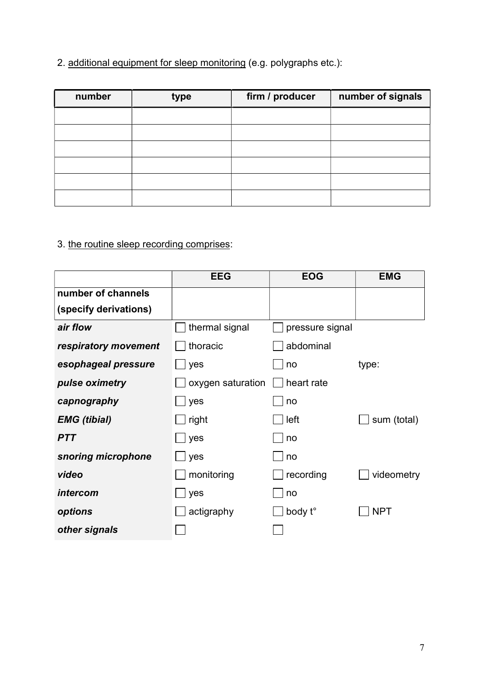2. additional equipment for sleep monitoring (e.g. polygraphs etc.):

| number | type | firm / producer | number of signals |
|--------|------|-----------------|-------------------|
|        |      |                 |                   |
|        |      |                 |                   |
|        |      |                 |                   |
|        |      |                 |                   |
|        |      |                 |                   |
|        |      |                 |                   |

## 3. the routine sleep recording comprises:

|                       | <b>EEG</b>        | <b>EOG</b>      | <b>EMG</b>  |
|-----------------------|-------------------|-----------------|-------------|
| number of channels    |                   |                 |             |
| (specify derivations) |                   |                 |             |
| air flow              | thermal signal    | pressure signal |             |
| respiratory movement  | thoracic          | abdominal       |             |
| esophageal pressure   | yes               | no              | type:       |
| pulse oximetry        | oxygen saturation | heart rate      |             |
| capnography           | yes               | no              |             |
| <b>EMG</b> (tibial)   | right             | left            | sum (total) |
| <b>PTT</b>            | yes               | no              |             |
| snoring microphone    | yes               | no              |             |
| video                 | monitoring        | recording       | videometry  |
| intercom              | yes               | no              |             |
| options               | actigraphy        | body t°         | <b>NPT</b>  |
| other signals         |                   |                 |             |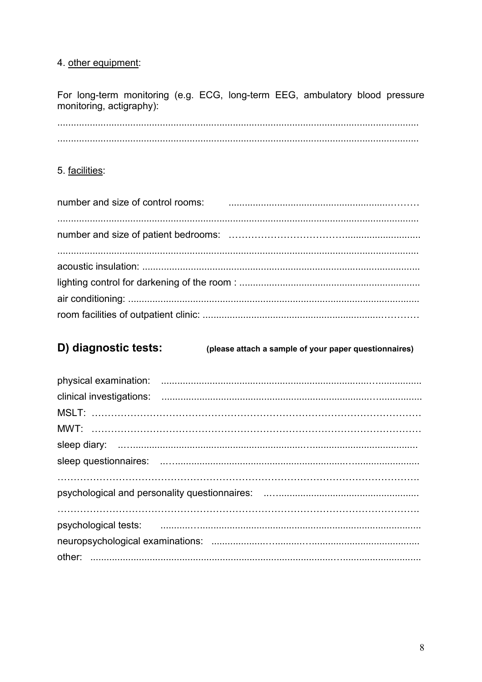## 4. other equipment:

For long-term monitoring (e.g. ECG, long-term EEG, ambulatory blood pressure monitoring, actigraphy):

### 5. facilities:

| number and size of control rooms: Fig. 2016. The control of the control of the number and size of control rooms: |
|------------------------------------------------------------------------------------------------------------------|
|                                                                                                                  |
|                                                                                                                  |
|                                                                                                                  |
|                                                                                                                  |
|                                                                                                                  |

#### D) diagnostic tests: (please attach a sample of your paper questionnaires)